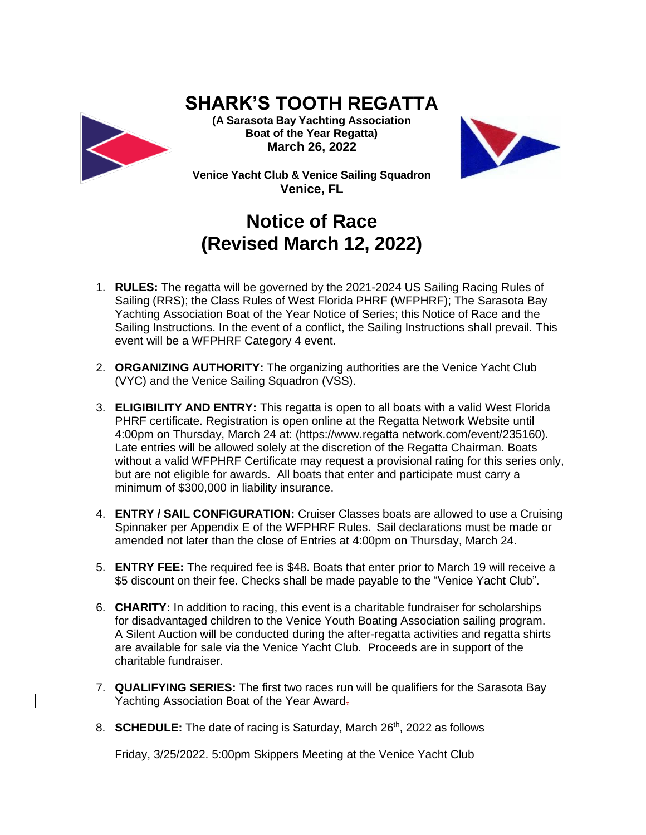## **SHARK'S TOOTH REGATTA**



**(A Sarasota Bay Yachting Association Boat of the Year Regatta) March 26, 2022**



**Venice Yacht Club & Venice Sailing Squadron Venice, FL**

## **Notice of Race (Revised March 12, 2022)**

- 1. **RULES:** The regatta will be governed by the 2021-2024 US Sailing Racing Rules of Sailing (RRS); the Class Rules of West Florida PHRF (WFPHRF); The Sarasota Bay Yachting Association Boat of the Year Notice of Series; this Notice of Race and the Sailing Instructions. In the event of a conflict, the Sailing Instructions shall prevail. This event will be a WFPHRF Category 4 event.
- 2. **ORGANIZING AUTHORITY:** The organizing authorities are the Venice Yacht Club (VYC) and the Venice Sailing Squadron (VSS).
- 3. **ELIGIBILITY AND ENTRY:** This regatta is open to all boats with a valid West Florida PHRF certificate. Registration is open online at the Regatta Network Website until 4:00pm on Thursday, March 24 at: (https://www.regatta network.com/event/235160). Late entries will be allowed solely at the discretion of the Regatta Chairman. Boats without a valid WFPHRF Certificate may request a provisional rating for this series only, but are not eligible for awards. All boats that enter and participate must carry a minimum of \$300,000 in liability insurance.
- 4. **ENTRY / SAIL CONFIGURATION:** Cruiser Classes boats are allowed to use a Cruising Spinnaker per Appendix E of the WFPHRF Rules. Sail declarations must be made or amended not later than the close of Entries at 4:00pm on Thursday, March 24.
- 5. **ENTRY FEE:** The required fee is \$48. Boats that enter prior to March 19 will receive a \$5 discount on their fee. Checks shall be made payable to the "Venice Yacht Club".
- 6. **CHARITY:** In addition to racing, this event is a charitable fundraiser for scholarships for disadvantaged children to the Venice Youth Boating Association sailing program. A Silent Auction will be conducted during the after-regatta activities and regatta shirts are available for sale via the Venice Yacht Club. Proceeds are in support of the charitable fundraiser.
- 7. **QUALIFYING SERIES:** The first two races run will be qualifiers for the Sarasota Bay Yachting Association Boat of the Year Award.
- 8. **SCHEDULE:** The date of racing is Saturday, March 26<sup>th</sup>, 2022 as follows

Friday, 3/25/2022. 5:00pm Skippers Meeting at the Venice Yacht Club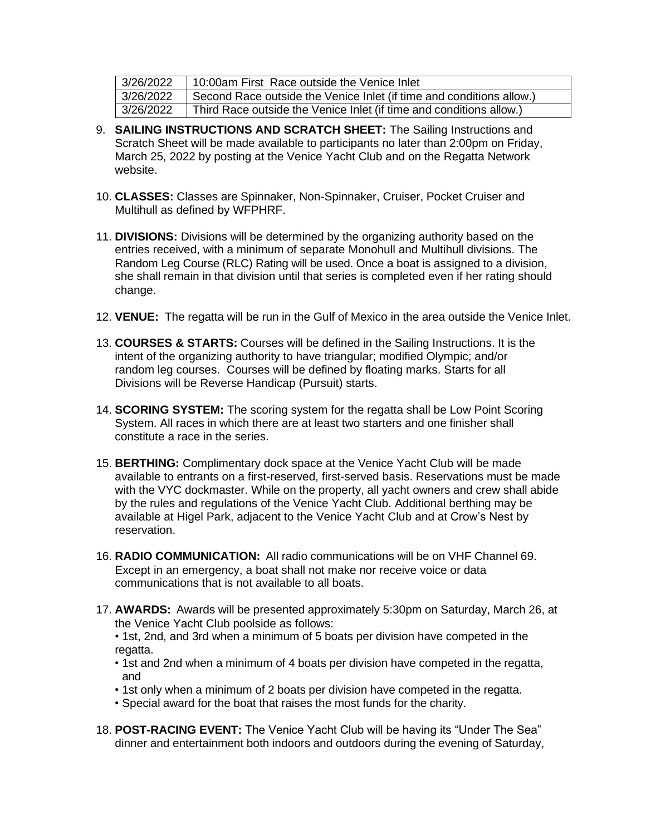| 3/26/2022 | 10:00am First Race outside the Venice Inlet                          |
|-----------|----------------------------------------------------------------------|
| 3/26/2022 | Second Race outside the Venice Inlet (if time and conditions allow.) |
| 3/26/2022 | Third Race outside the Venice Inlet (if time and conditions allow.)  |

- 9. **SAILING INSTRUCTIONS AND SCRATCH SHEET:** The Sailing Instructions and Scratch Sheet will be made available to participants no later than 2:00pm on Friday, March 25, 2022 by posting at the Venice Yacht Club and on the Regatta Network website.
- 10. **CLASSES:** Classes are Spinnaker, Non-Spinnaker, Cruiser, Pocket Cruiser and Multihull as defined by WFPHRF.
- 11. **DIVISIONS:** Divisions will be determined by the organizing authority based on the entries received, with a minimum of separate Monohull and Multihull divisions. The Random Leg Course (RLC) Rating will be used. Once a boat is assigned to a division, she shall remain in that division until that series is completed even if her rating should change.
- 12. **VENUE:** The regatta will be run in the Gulf of Mexico in the area outside the Venice Inlet.
- 13. **COURSES & STARTS:** Courses will be defined in the Sailing Instructions. It is the intent of the organizing authority to have triangular; modified Olympic; and/or random leg courses. Courses will be defined by floating marks. Starts for all Divisions will be Reverse Handicap (Pursuit) starts.
- 14. **SCORING SYSTEM:** The scoring system for the regatta shall be Low Point Scoring System. All races in which there are at least two starters and one finisher shall constitute a race in the series.
- 15. **BERTHING:** Complimentary dock space at the Venice Yacht Club will be made available to entrants on a first-reserved, first-served basis. Reservations must be made with the VYC dockmaster. While on the property, all yacht owners and crew shall abide by the rules and regulations of the Venice Yacht Club. Additional berthing may be available at Higel Park, adjacent to the Venice Yacht Club and at Crow's Nest by reservation.
- 16. **RADIO COMMUNICATION:** All radio communications will be on VHF Channel 69. Except in an emergency, a boat shall not make nor receive voice or data communications that is not available to all boats.
- 17. **AWARDS:** Awards will be presented approximately 5:30pm on Saturday, March 26, at the Venice Yacht Club poolside as follows:
	- 1st, 2nd, and 3rd when a minimum of 5 boats per division have competed in the regatta.
	- 1st and 2nd when a minimum of 4 boats per division have competed in the regatta, and
	- 1st only when a minimum of 2 boats per division have competed in the regatta.
	- Special award for the boat that raises the most funds for the charity.
- 18. **POST-RACING EVENT:** The Venice Yacht Club will be having its "Under The Sea" dinner and entertainment both indoors and outdoors during the evening of Saturday,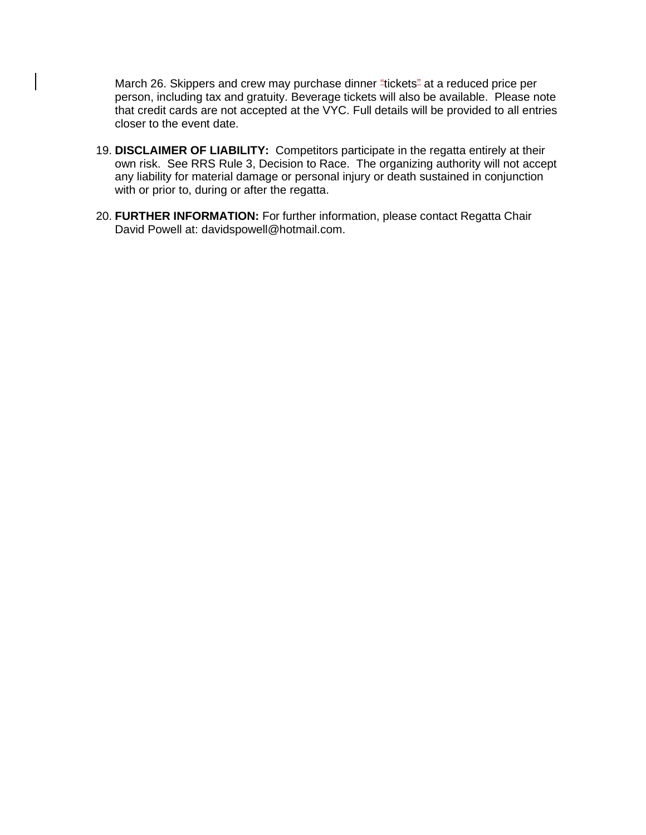March 26. Skippers and crew may purchase dinner "tickets" at a reduced price per person, including tax and gratuity. Beverage tickets will also be available. Please note that credit cards are not accepted at the VYC. Full details will be provided to all entries closer to the event date.

- 19. **DISCLAIMER OF LIABILITY:** Competitors participate in the regatta entirely at their own risk. See RRS Rule 3, Decision to Race. The organizing authority will not accept any liability for material damage or personal injury or death sustained in conjunction with or prior to, during or after the regatta.
- 20. **FURTHER INFORMATION:** For further information, please contact Regatta Chair David Powell at: [davidspowell@hotmail.com.](mailto:davidspowell@hotmail.com)